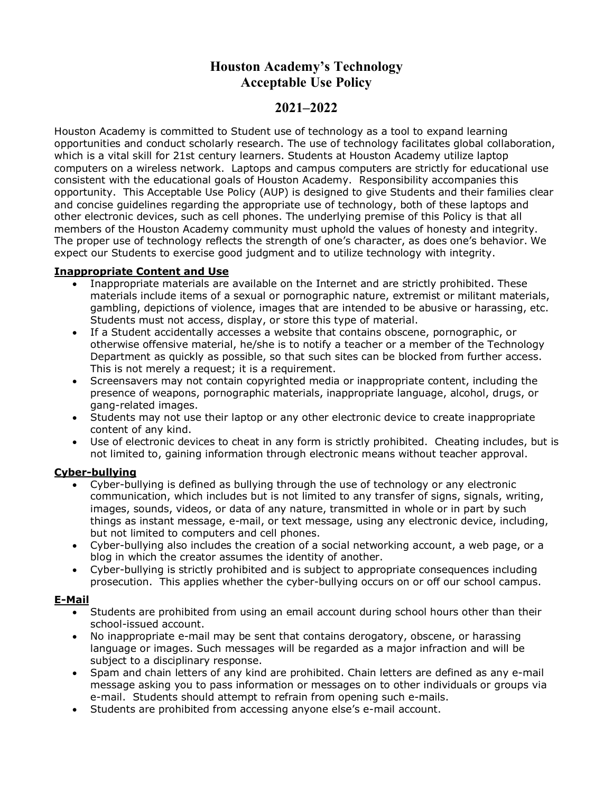# **Houston Academy's Technology Acceptable Use Policy**

## **2021–2022**

Houston Academy is committed to Student use of technology as a tool to expand learning opportunities and conduct scholarly research. The use of technology facilitates global collaboration, which is a vital skill for 21st century learners. Students at Houston Academy utilize laptop computers on a wireless network. Laptops and campus computers are strictly for educational use consistent with the educational goals of Houston Academy. Responsibility accompanies this opportunity. This Acceptable Use Policy (AUP) is designed to give Students and their families clear and concise guidelines regarding the appropriate use of technology, both of these laptops and other electronic devices, such as cell phones. The underlying premise of this Policy is that all members of the Houston Academy community must uphold the values of honesty and integrity. The proper use of technology reflects the strength of one's character, as does one's behavior. We expect our Students to exercise good judgment and to utilize technology with integrity.

#### **Inappropriate Content and Use**

- Inappropriate materials are available on the Internet and are strictly prohibited. These materials include items of a sexual or pornographic nature, extremist or militant materials, gambling, depictions of violence, images that are intended to be abusive or harassing, etc. Students must not access, display, or store this type of material.
- If a Student accidentally accesses a website that contains obscene, pornographic, or otherwise offensive material, he/she is to notify a teacher or a member of the Technology Department as quickly as possible, so that such sites can be blocked from further access. This is not merely a request; it is a requirement.
- Screensavers may not contain copyrighted media or inappropriate content, including the presence of weapons, pornographic materials, inappropriate language, alcohol, drugs, or gang-related images.
- Students may not use their laptop or any other electronic device to create inappropriate content of any kind.
- Use of electronic devices to cheat in any form is strictly prohibited. Cheating includes, but is not limited to, gaining information through electronic means without teacher approval.

#### **Cyber-bullying**

- Cyber-bullying is defined as bullying through the use of technology or any electronic communication, which includes but is not limited to any transfer of signs, signals, writing, images, sounds, videos, or data of any nature, transmitted in whole or in part by such things as instant message, e-mail, or text message, using any electronic device, including, but not limited to computers and cell phones.
- Cyber-bullying also includes the creation of a social networking account, a web page, or a blog in which the creator assumes the identity of another.
- Cyber-bullying is strictly prohibited and is subject to appropriate consequences including prosecution. This applies whether the cyber-bullying occurs on or off our school campus.

#### **E-Mail**

- Students are prohibited from using an email account during school hours other than their school-issued account.
- No inappropriate e-mail may be sent that contains derogatory, obscene, or harassing language or images. Such messages will be regarded as a major infraction and will be subject to a disciplinary response.
- Spam and chain letters of any kind are prohibited. Chain letters are defined as any e-mail message asking you to pass information or messages on to other individuals or groups via e-mail. Students should attempt to refrain from opening such e-mails.
- Students are prohibited from accessing anyone else's e-mail account.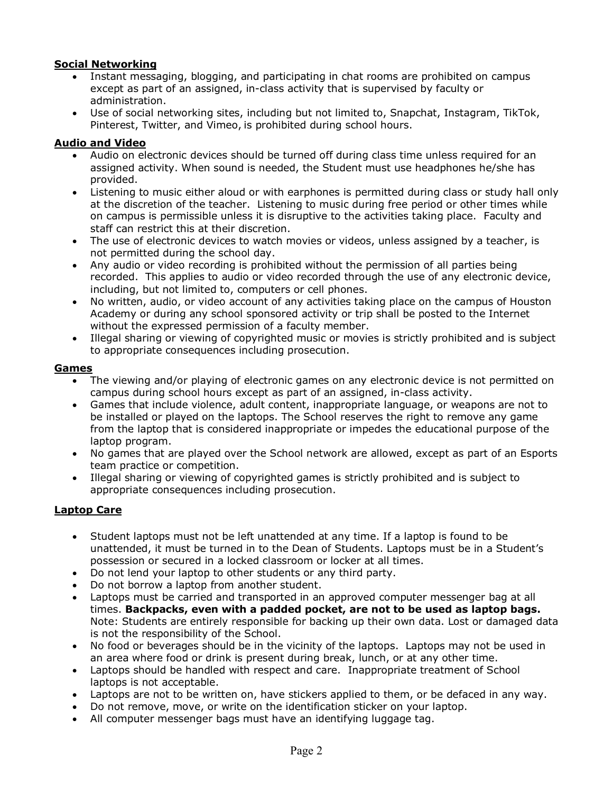## **Social Networking**

- Instant messaging, blogging, and participating in chat rooms are prohibited on campus except as part of an assigned, in-class activity that is supervised by faculty or administration.
- Use of social networking sites, including but not limited to, Snapchat, Instagram, TikTok, Pinterest, Twitter, and Vimeo, is prohibited during school hours.

## **Audio and Video**

- Audio on electronic devices should be turned off during class time unless required for an assigned activity. When sound is needed, the Student must use headphones he/she has provided.
- Listening to music either aloud or with earphones is permitted during class or study hall only at the discretion of the teacher. Listening to music during free period or other times while on campus is permissible unless it is disruptive to the activities taking place. Faculty and staff can restrict this at their discretion.
- The use of electronic devices to watch movies or videos, unless assigned by a teacher, is not permitted during the school day.
- Any audio or video recording is prohibited without the permission of all parties being recorded. This applies to audio or video recorded through the use of any electronic device, including, but not limited to, computers or cell phones.
- No written, audio, or video account of any activities taking place on the campus of Houston Academy or during any school sponsored activity or trip shall be posted to the Internet without the expressed permission of a faculty member.
- Illegal sharing or viewing of copyrighted music or movies is strictly prohibited and is subject to appropriate consequences including prosecution.

#### **Games**

- The viewing and/or playing of electronic games on any electronic device is not permitted on campus during school hours except as part of an assigned, in-class activity.
- Games that include violence, adult content, inappropriate language, or weapons are not to be installed or played on the laptops. The School reserves the right to remove any game from the laptop that is considered inappropriate or impedes the educational purpose of the laptop program.
- No games that are played over the School network are allowed, except as part of an Esports team practice or competition.
- Illegal sharing or viewing of copyrighted games is strictly prohibited and is subject to appropriate consequences including prosecution.

#### **Laptop Care**

- Student laptops must not be left unattended at any time. If a laptop is found to be unattended, it must be turned in to the Dean of Students. Laptops must be in a Student's possession or secured in a locked classroom or locker at all times.
- Do not lend your laptop to other students or any third party.
- Do not borrow a laptop from another student.
- Laptops must be carried and transported in an approved computer messenger bag at all times. **Backpacks, even with a padded pocket, are not to be used as laptop bags.**  Note: Students are entirely responsible for backing up their own data. Lost or damaged data is not the responsibility of the School.
- No food or beverages should be in the vicinity of the laptops. Laptops may not be used in an area where food or drink is present during break, lunch, or at any other time.
- Laptops should be handled with respect and care. Inappropriate treatment of School laptops is not acceptable.
- Laptops are not to be written on, have stickers applied to them, or be defaced in any way.
- Do not remove, move, or write on the identification sticker on your laptop.
- All computer messenger bags must have an identifying luggage tag.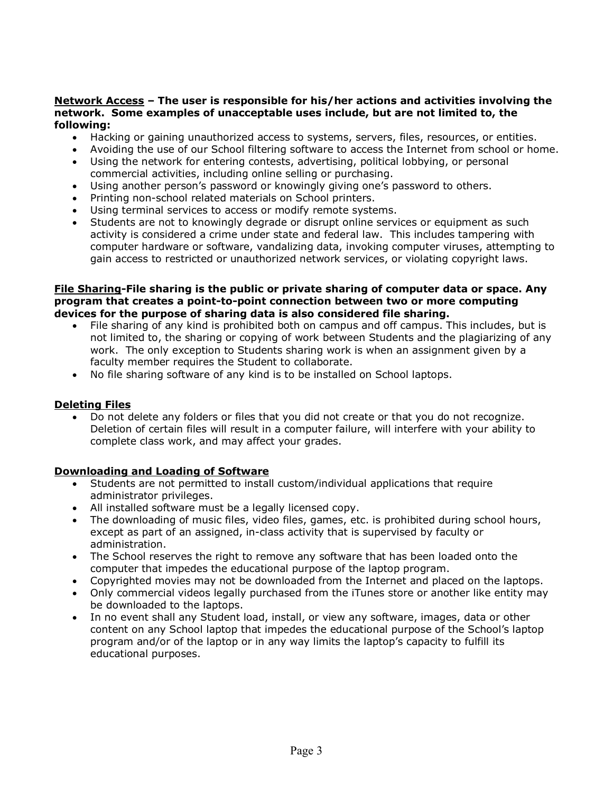#### **Network Access – The user is responsible for his/her actions and activities involving the network. Some examples of unacceptable uses include, but are not limited to, the following:**

- Hacking or gaining unauthorized access to systems, servers, files, resources, or entities.
- Avoiding the use of our School filtering software to access the Internet from school or home.
- Using the network for entering contests, advertising, political lobbying, or personal commercial activities, including online selling or purchasing.
- Using another person's password or knowingly giving one's password to others.
- Printing non-school related materials on School printers.
- Using terminal services to access or modify remote systems.
- Students are not to knowingly degrade or disrupt online services or equipment as such activity is considered a crime under state and federal law. This includes tampering with computer hardware or software, vandalizing data, invoking computer viruses, attempting to gain access to restricted or unauthorized network services, or violating copyright laws.

#### **File Sharing-File sharing is the public or private sharing of computer data or space. Any program that creates a point-to-point connection between two or more computing devices for the purpose of sharing data is also considered file sharing.**

- File sharing of any kind is prohibited both on campus and off campus. This includes, but is not limited to, the sharing or copying of work between Students and the plagiarizing of any work. The only exception to Students sharing work is when an assignment given by a faculty member requires the Student to collaborate.
- No file sharing software of any kind is to be installed on School laptops.

#### **Deleting Files**

• Do not delete any folders or files that you did not create or that you do not recognize. Deletion of certain files will result in a computer failure, will interfere with your ability to complete class work, and may affect your grades.

#### **Downloading and Loading of Software**

- Students are not permitted to install custom/individual applications that require administrator privileges.
- All installed software must be a legally licensed copy.
- The downloading of music files, video files, games, etc. is prohibited during school hours, except as part of an assigned, in-class activity that is supervised by faculty or administration.
- The School reserves the right to remove any software that has been loaded onto the computer that impedes the educational purpose of the laptop program.
- Copyrighted movies may not be downloaded from the Internet and placed on the laptops.
- Only commercial videos legally purchased from the iTunes store or another like entity may be downloaded to the laptops.
- In no event shall any Student load, install, or view any software, images, data or other content on any School laptop that impedes the educational purpose of the School's laptop program and/or of the laptop or in any way limits the laptop's capacity to fulfill its educational purposes.